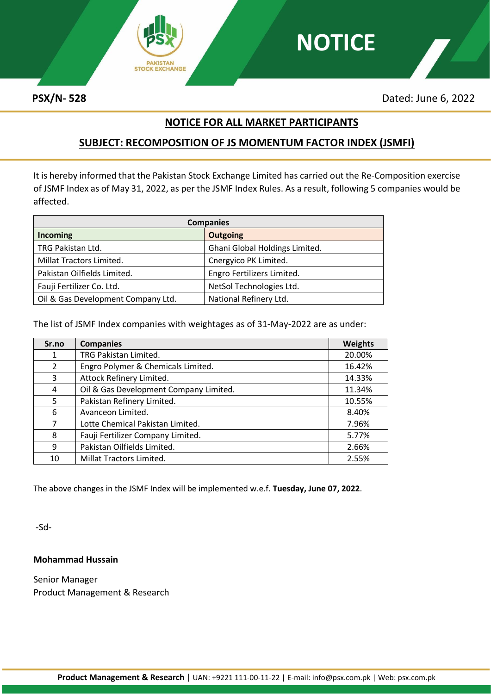

**PSX/N- 528** Dated: June 6, 2022

### **NOTICE FOR ALL MARKET PARTICIPANTS**

**NOTICE**

## **SUBJECT: RECOMPOSITION OF JS MOMENTUM FACTOR INDEX (JSMFI)**

It is hereby informed that the Pakistan Stock Exchange Limited has carried out the Re-Composition exercise of JSMF Index as of May 31, 2022, as per the JSMF Index Rules. As a result, following 5 companies would be affected.

| <b>Companies</b>                   |                                |  |
|------------------------------------|--------------------------------|--|
| Incoming                           | <b>Outgoing</b>                |  |
| TRG Pakistan Ltd.                  | Ghani Global Holdings Limited. |  |
| Millat Tractors Limited.           | Cnergyico PK Limited.          |  |
| Pakistan Oilfields Limited.        | Engro Fertilizers Limited.     |  |
| Fauji Fertilizer Co. Ltd.          | NetSol Technologies Ltd.       |  |
| Oil & Gas Development Company Ltd. | National Refinery Ltd.         |  |

The list of JSMF Index companies with weightages as of 31-May-2022 are as under:

| Sr.no | <b>Companies</b>                       | <b>Weights</b> |
|-------|----------------------------------------|----------------|
| 1     | TRG Pakistan Limited.                  | 20.00%         |
| 2     | Engro Polymer & Chemicals Limited.     | 16.42%         |
| 3     | Attock Refinery Limited.               | 14.33%         |
| 4     | Oil & Gas Development Company Limited. | 11.34%         |
| 5     | Pakistan Refinery Limited.             | 10.55%         |
| 6     | Avanceon Limited.                      | 8.40%          |
| 7     | Lotte Chemical Pakistan Limited.       | 7.96%          |
| 8     | Fauji Fertilizer Company Limited.      | 5.77%          |
| 9     | Pakistan Oilfields Limited.            | 2.66%          |
| 10    | Millat Tractors Limited.               | 2.55%          |

The above changes in the JSMF Index will be implemented w.e.f. **Tuesday, June 07, 2022**.

-Sd-

#### **Mohammad Hussain**

Senior Manager Product Management & Research